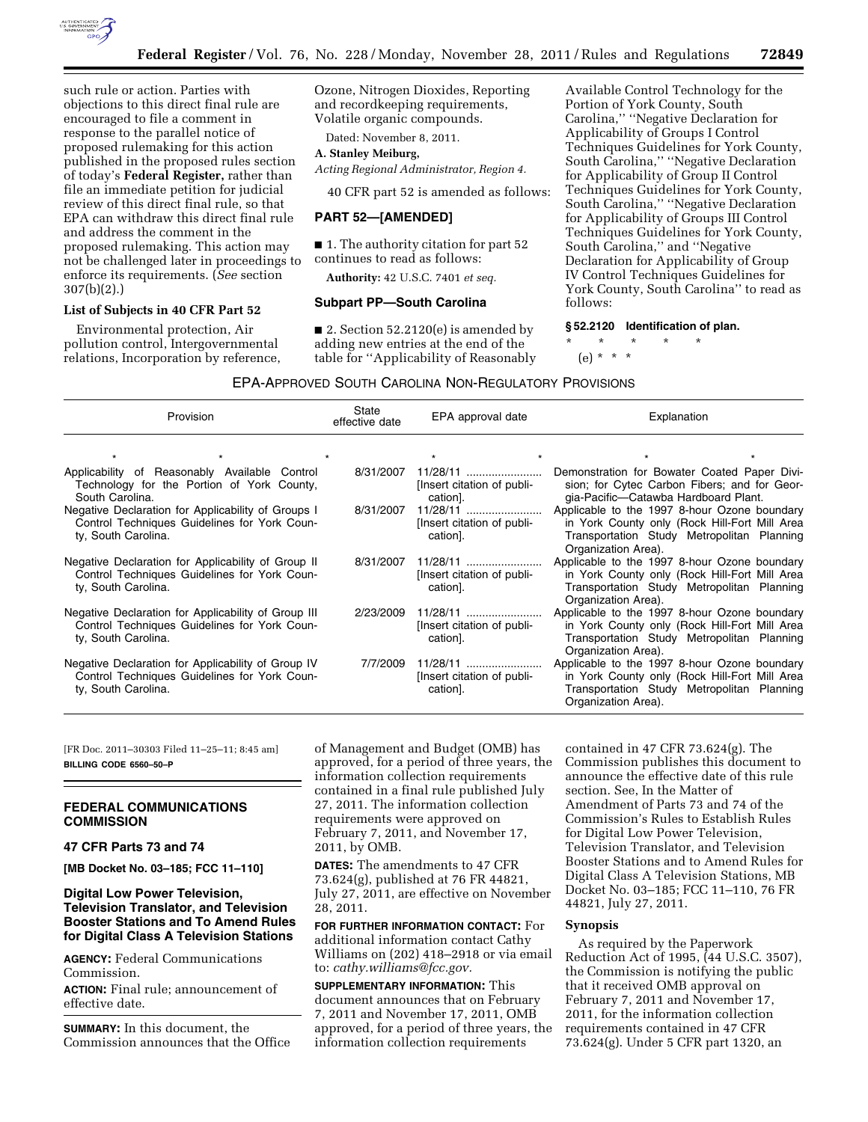

such rule or action. Parties with objections to this direct final rule are encouraged to file a comment in response to the parallel notice of proposed rulemaking for this action published in the proposed rules section of today's **Federal Register,** rather than file an immediate petition for judicial review of this direct final rule, so that EPA can withdraw this direct final rule and address the comment in the proposed rulemaking. This action may not be challenged later in proceedings to enforce its requirements. (*See* section 307(b)(2).)

## **List of Subjects in 40 CFR Part 52**

Environmental protection, Air pollution control, Intergovernmental relations, Incorporation by reference, Ozone, Nitrogen Dioxides, Reporting and recordkeeping requirements, Volatile organic compounds.

Dated: November 8, 2011.

# **A. Stanley Meiburg,**

*Acting Regional Administrator, Region 4.* 

40 CFR part 52 is amended as follows:

## **PART 52—[AMENDED]**

■ 1. The authority citation for part 52 continues to read as follows:

**Authority:** 42 U.S.C. 7401 *et seq.* 

### **Subpart PP—South Carolina**

■ 2. Section 52.2120(e) is amended by adding new entries at the end of the table for ''Applicability of Reasonably

Available Control Technology for the Portion of York County, South Carolina,'' ''Negative Declaration for Applicability of Groups I Control Techniques Guidelines for York County, South Carolina,'' ''Negative Declaration for Applicability of Group II Control Techniques Guidelines for York County, South Carolina,'' ''Negative Declaration for Applicability of Groups III Control Techniques Guidelines for York County, South Carolina,'' and ''Negative Declaration for Applicability of Group IV Control Techniques Guidelines for York County, South Carolina'' to read as follows:

## **§ 52.2120 Identification of plan.**

\* \* \* \* \*

(e) \* \* \*

### EPA-APPROVED SOUTH CAROLINA NON-REGULATORY PROVISIONS

| Provision                                                                                                                  | State<br>effective date | EPA approval date                                  | Explanation                                                                                                                                                        |  |
|----------------------------------------------------------------------------------------------------------------------------|-------------------------|----------------------------------------------------|--------------------------------------------------------------------------------------------------------------------------------------------------------------------|--|
|                                                                                                                            |                         |                                                    |                                                                                                                                                                    |  |
| Applicability of Reasonably Available Control<br>Technology for the Portion of York County,<br>South Carolina.             | 8/31/2007               | 11/28/11<br>[Insert citation of publi-<br>cation]. | Demonstration for Bowater Coated Paper Divi-<br>sion; for Cytec Carbon Fibers; and for Geor-<br>gia-Pacific-Catawba Hardboard Plant.                               |  |
| Negative Declaration for Applicability of Groups I<br>Control Techniques Guidelines for York Coun-<br>ty, South Carolina.  | 8/31/2007               | 11/28/11<br>[Insert citation of publi-<br>cation]. | Applicable to the 1997 8-hour Ozone boundary<br>in York County only (Rock Hill-Fort Mill Area<br>Transportation Study Metropolitan Planning<br>Organization Area). |  |
| Negative Declaration for Applicability of Group II<br>Control Techniques Guidelines for York Coun-<br>ty, South Carolina.  | 8/31/2007               | 11/28/11<br>[Insert citation of publi-<br>cation]. | Applicable to the 1997 8-hour Ozone boundary<br>in York County only (Rock Hill-Fort Mill Area<br>Transportation Study Metropolitan Planning<br>Organization Area). |  |
| Negative Declaration for Applicability of Group III<br>Control Techniques Guidelines for York Coun-<br>ty, South Carolina. | 2/23/2009               | 11/28/11<br>[Insert citation of publi-<br>cation]. | Applicable to the 1997 8-hour Ozone boundary<br>in York County only (Rock Hill-Fort Mill Area<br>Transportation Study Metropolitan Planning<br>Organization Area). |  |
| Negative Declaration for Applicability of Group IV<br>Control Techniques Guidelines for York Coun-<br>ty, South Carolina.  | 7/7/2009                | 11/28/11<br>[Insert citation of publi-<br>cation]. | Applicable to the 1997 8-hour Ozone boundary<br>in York County only (Rock Hill-Fort Mill Area<br>Transportation Study Metropolitan Planning<br>Organization Area). |  |

[FR Doc. 2011–30303 Filed 11–25–11; 8:45 am] **BILLING CODE 6560–50–P** 

## **FEDERAL COMMUNICATIONS COMMISSION**

**47 CFR Parts 73 and 74** 

**[MB Docket No. 03–185; FCC 11–110]** 

# **Digital Low Power Television, Television Translator, and Television Booster Stations and To Amend Rules for Digital Class A Television Stations**

**AGENCY:** Federal Communications Commission.

**ACTION:** Final rule; announcement of effective date.

**SUMMARY:** In this document, the Commission announces that the Office of Management and Budget (OMB) has approved, for a period of three years, the information collection requirements contained in a final rule published July 27, 2011. The information collection requirements were approved on February 7, 2011, and November 17, 2011, by OMB.

**DATES:** The amendments to 47 CFR 73.624(g), published at 76 FR 44821, July 27, 2011, are effective on November 28, 2011.

**FOR FURTHER INFORMATION CONTACT:** For additional information contact Cathy Williams on (202) 418–2918 or via email to: *[cathy.williams@fcc.gov.](mailto:cathy.williams@fcc.gov)* 

**SUPPLEMENTARY INFORMATION:** This document announces that on February 7, 2011 and November 17, 2011, OMB approved, for a period of three years, the information collection requirements

contained in 47 CFR 73.624(g). The Commission publishes this document to announce the effective date of this rule section. See, In the Matter of Amendment of Parts 73 and 74 of the Commission's Rules to Establish Rules for Digital Low Power Television, Television Translator, and Television Booster Stations and to Amend Rules for Digital Class A Television Stations, MB Docket No. 03–185; FCC 11–110, 76 FR 44821, July 27, 2011.

### **Synopsis**

As required by the Paperwork Reduction Act of 1995, (44 U.S.C. 3507), the Commission is notifying the public that it received OMB approval on February 7, 2011 and November 17, 2011, for the information collection requirements contained in 47 CFR 73.624(g). Under 5 CFR part 1320, an